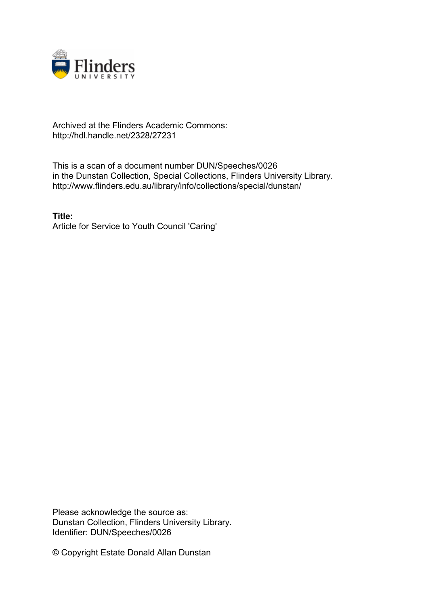

## Archived at the Flinders Academic Commons: http://hdl.handle.net/2328/27231

This is a scan of a document number DUN/Speeches/0026 in the Dunstan Collection, Special Collections, Flinders University Library. http://www.flinders.edu.au/library/info/collections/special/dunstan/

**Title:** Article for Service to Youth Council 'Caring'

Please acknowledge the source as: Dunstan Collection, Flinders University Library. Identifier: DUN/Speeches/0026

© Copyright Estate Donald Allan Dunstan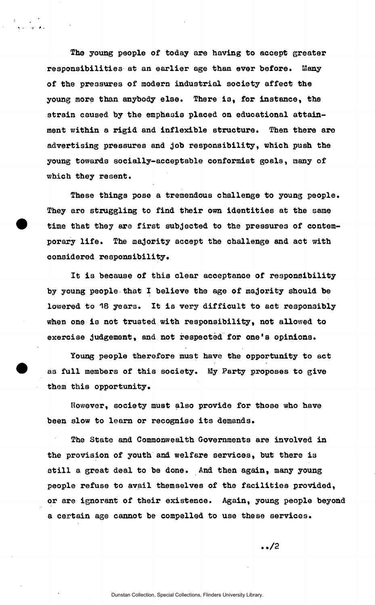The young people of today are having to accept greater responsibilities at an earlier age than ever before. Many of the pressures of modern industrial society affect the young more than anybody else. There ia, for instance, the strain caused by the emphasis placed on educational attainment within a rigid and inflexible structure. Then there are advertising pressures and job responsibility, which push the young towards socially-acceptable conformist goals, many of which they resent.

These things pose a tremendous challenge to young people. They are struggling to find their own identities at the same time that they are first subjected to the pressures of contemporary life. The majority accept the challenge and act with considered responsibility.

It is because of this clear acceptance of responsibility by young people that I believe the age of majority should be lowered to 18 years. It is very difficult to act responsibly when one is not trusted with responsibility, not allowed to exercise judgement, and not respected for one's opinions.

Young people therefore must have the opportunity to act as full members of this society. My Party proposes to give thom this opportunity.

However, society must also provide for those who have been slow to learn or recognise its demands.

The State and Commonwealth Governments are involved in the provision of youth and welfare services, but there is still a great deal to be done. And then again, many young people refuse to avail themselves of the facilities provided, or are ignorant of their existence. Again, young people beyond a certain age cannot be compelled to use these services.

**../2**